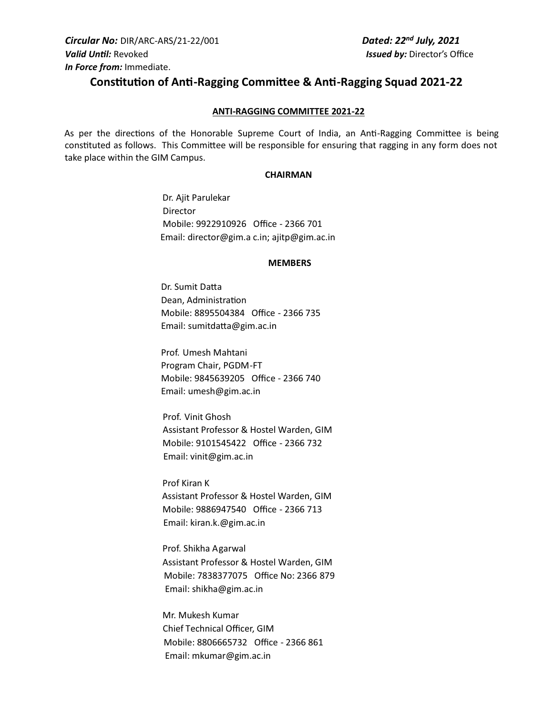# **Constitution of Anti-Ragging Committee & Anti-Ragging Squad 2021-22**

## **ANTI-RAGGING COMMITTEE 2021-22**

As per the directions of the Honorable Supreme Court of India, an Anti-Ragging Committee is being constituted as follows. This Committee will be responsible for ensuring that ragging in any form does not take place within the GIM Campus.

### **CHAIRMAN**

Dr. Ajit Parulekar Director Mobile: 9922910926 Office - 2366 701 Email: director@gim.a c.in; ajitp@gim.ac.in

#### **MEMBERS**

Dr. Sumit Datta Dean, Administration Mobile: 8895504384 Office - 2366 735 Email: sumitdatta@gim.ac.in

Prof. Umesh Mahtani Program Chair, PGDM-FT Mobile: 9845639205 Office - 2366 740 Email: umesh@gim.ac.in

 Prof. Vinit Ghosh Assistant Professor & Hostel Warden, GIM Mobile: 9101545422 Office - 2366 732 Email: vinit@gim.ac.in

Prof Kiran K Assistant Professor & Hostel Warden, GIM Mobile: 9886947540 Office - 2366 713 Email: kiran.k.@gim.ac.in

Prof. Shikha Agarwal Assistant Professor & Hostel Warden, GIM Mobile: 7838377075 Office No: 2366 879 Email: shikha@gim.ac.in

Mr. Mukesh Kumar Chief Technical Officer, GIM Mobile: 8806665732 Office - 2366 861 Email: mkumar@gim.ac.in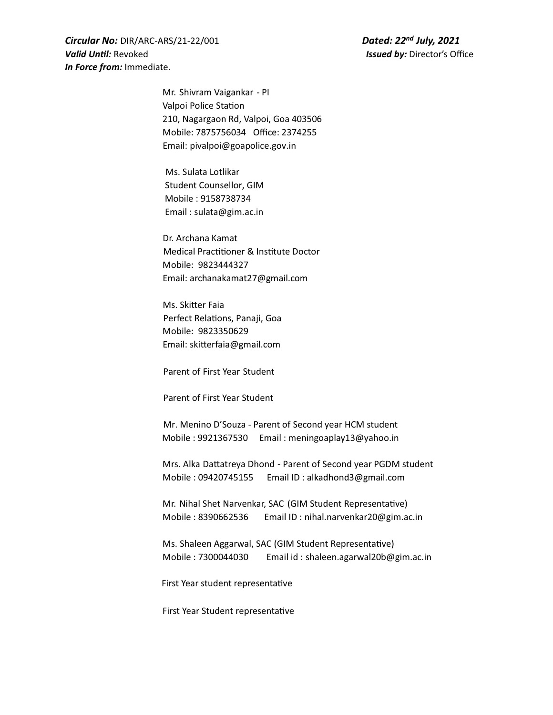*Circular No:* DIR/ARC-ARS/21-22/001 *Dated: 22* **Valid Until:** Revoked *Valid Until:* Revoked *Issued by:* **Director's Office** *In Force from:* Immediate.

*Dated: 22<sup>nd</sup> July, 2021* 

Mr. Shivram Vaigankar - PI Valpoi Police Station 210, Nagargaon Rd, Valpoi, Goa 403506 Mobile: 7875756034 Office: 2374255 Email: pivalpoi@goapolice.gov.in

 Ms. Sulata Lotlikar Student Counsellor, GIM Mobile : 9158738734 Email : sulata@gim.ac.in

 Dr. Archana Kamat Medical Practitioner & Institute Doctor Mobile: 9823444327 Email: archanakamat27@gmail.com

Ms. Skitter Faia Perfect Relations, Panaji, Goa Mobile: 9823350629 Email: skitterfaia@gmail.com

Parent of First Year Student

Parent of First Year Student

 Mr. Menino D'Souza - Parent of Second year HCM student Mobile : 9921367530 Email : meningoaplay13@yahoo.in

Mrs. Alka Dattatreya Dhond - Parent of Second year PGDM student Mobile : 09420745155 Email ID : alkadhond3@gmail.com

Mr. Nihal Shet Narvenkar, SAC (GIM Student Representative) Mobile : 8390662536 Email ID : nihal.narvenkar20@gim.ac.in

Ms. Shaleen Aggarwal, SAC (GIM Student Representative) Mobile : 7300044030 Email id : shaleen.agarwal20b@gim.ac.in

First Year student representative

First Year Student representative